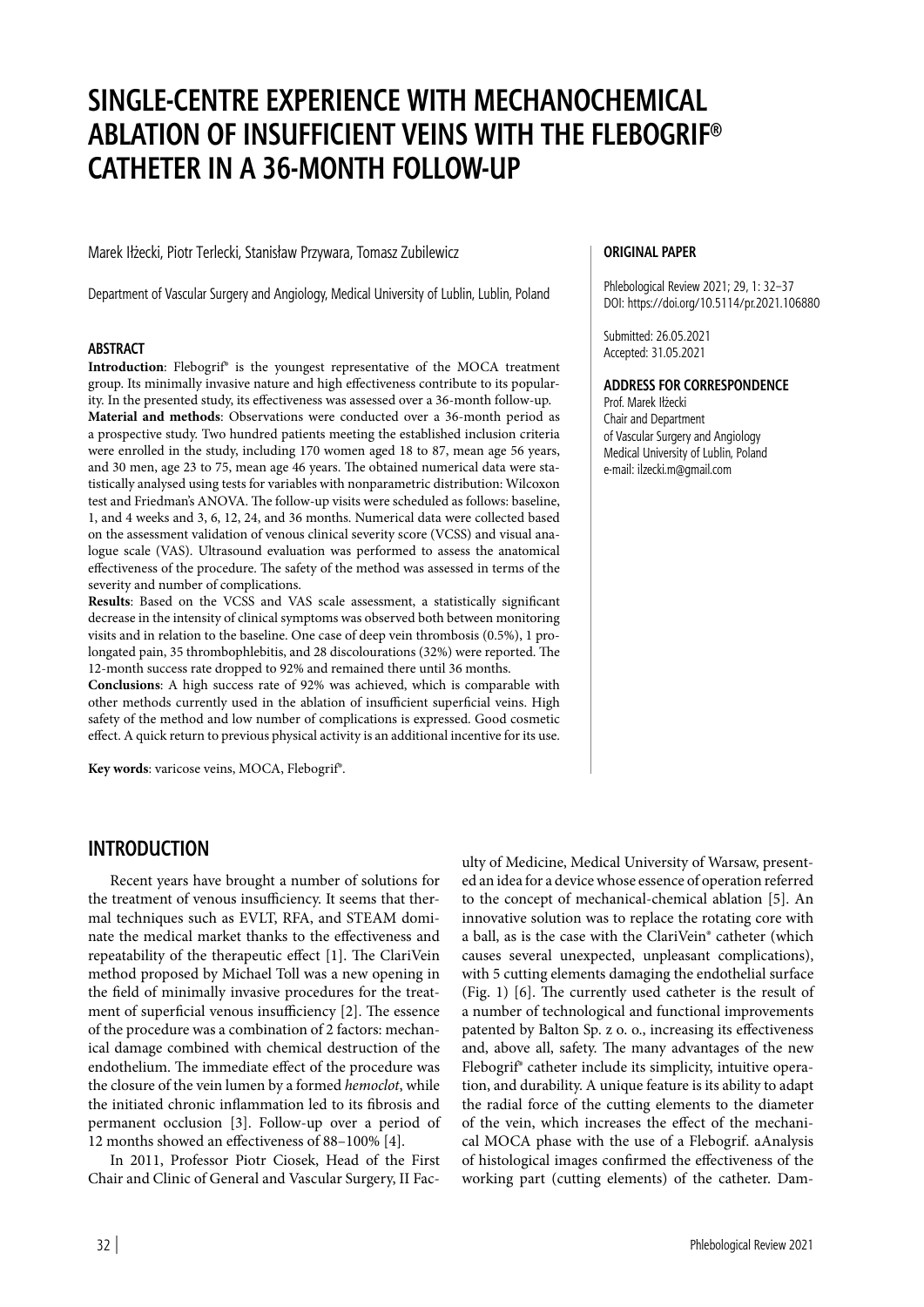# **SINGLE-CENTRE EXPERIENCE WITH MECHANOCHEMICAL ABLATION OF INSUFFICIENT VEINS WITH THE FLEBOGRIF® CATHETER IN A 36-MONTH FOLLOW-UP**

Marek Iłżecki, Piotr Terlecki, Stanisław Przywara, Tomasz Zubilewicz

Department of Vascular Surgery and Angiology, Medical University of Lublin, Lublin, Poland

#### **ABSTRACT**

Introduction: Flebogrif<sup>®</sup> is the youngest representative of the MOCA treatment group. Its minimally invasive nature and high effectiveness contribute to its popularity. In the presented study, its effectiveness was assessed over a 36-month follow-up. **Material and methods**: Observations were conducted over a 36-month period as a prospective study. Two hundred patients meeting the established inclusion criteria were enrolled in the study, including 170 women aged 18 to 87, mean age 56 years, and 30 men, age 23 to 75, mean age 46 years. The obtained numerical data were statistically analysed using tests for variables with nonparametric distribution: Wilcoxon test and Friedman's ANOVA. The follow-up visits were scheduled as follows: baseline, 1, and 4 weeks and 3, 6, 12, 24, and 36 months. Numerical data were collected based on the assessment validation of venous clinical severity score (VCSS) and visual analogue scale (VAS). Ultrasound evaluation was performed to assess the anatomical effectiveness of the procedure. The safety of the method was assessed in terms of the severity and number of complications.

**Results**: Based on the VCSS and VAS scale assessment, a statistically significant decrease in the intensity of clinical symptoms was observed both between monitoring visits and in relation to the baseline. One case of deep vein thrombosis (0.5%), 1 prolongated pain, 35 thrombophlebitis, and 28 discolourations (32%) were reported. The 12-month success rate dropped to 92% and remained there until 36 months.

**Conclusions**: A high success rate of 92% was achieved, which is comparable with other methods currently used in the ablation of insufficient superficial veins. High safety of the method and low number of complications is expressed. Good cosmetic effect. A quick return to previous physical activity is an additional incentive for its use.

**Key words**: varicose veins, MOCA, Flebogrif®.

#### **ORIGINAL PAPER**

Phlebological Review 2021; 29, 1: 32–37 DOI: https://doi.org/10.5114/pr.2021.106880

Submitted: 26.05.2021 Accepted: 31.05.2021

#### **ADDRESS FOR CORRESPONDENCE**

Prof. Marek Iłżecki Chair and Department of Vascular Surgery and Angiology Medical University of Lublin, Poland e-mail: ilzecki.m@gmail.com

## **INTRODUCTION**

Recent years have brought a number of solutions for the treatment of venous insufficiency. It seems that thermal techniques such as EVLT, RFA, and STEAM dominate the medical market thanks to the effectiveness and repeatability of the therapeutic effect [1]. The ClariVein method proposed by Michael Toll was a new opening in the field of minimally invasive procedures for the treatment of superficial venous insufficiency [2]. The essence of the procedure was a combination of 2 factors: mechanical damage combined with chemical destruction of the endothelium. The immediate effect of the procedure was the closure of the vein lumen by a formed *hemoclot*, while the initiated chronic inflammation led to its fibrosis and permanent occlusion [3]. Follow-up over a period of 12 months showed an effectiveness of 88–100% [4].

In 2011, Professor Piotr Ciosek, Head of the First Chair and Clinic of General and Vascular Surgery, II Fac-

ulty of Medicine, Medical University of Warsaw, presented an idea for a device whose essence of operation referred to the concept of mechanical-chemical ablation [5]. An innovative solution was to replace the rotating core with a ball, as is the case with the ClariVein® catheter (which causes several unexpected, unpleasant complications), with 5 cutting elements damaging the endothelial surface (Fig. 1) [6]. The currently used catheter is the result of a number of technological and functional improvements patented by Balton Sp. z o. o., increasing its effectiveness and, above all, safety. The many advantages of the new Flebogrif® catheter include its simplicity, intuitive operation, and durability. A unique feature is its ability to adapt the radial force of the cutting elements to the diameter of the vein, which increases the effect of the mechanical MOCA phase with the use of a Flebogrif. aAnalysis of histological images confirmed the effectiveness of the working part (cutting elements) of the catheter. Dam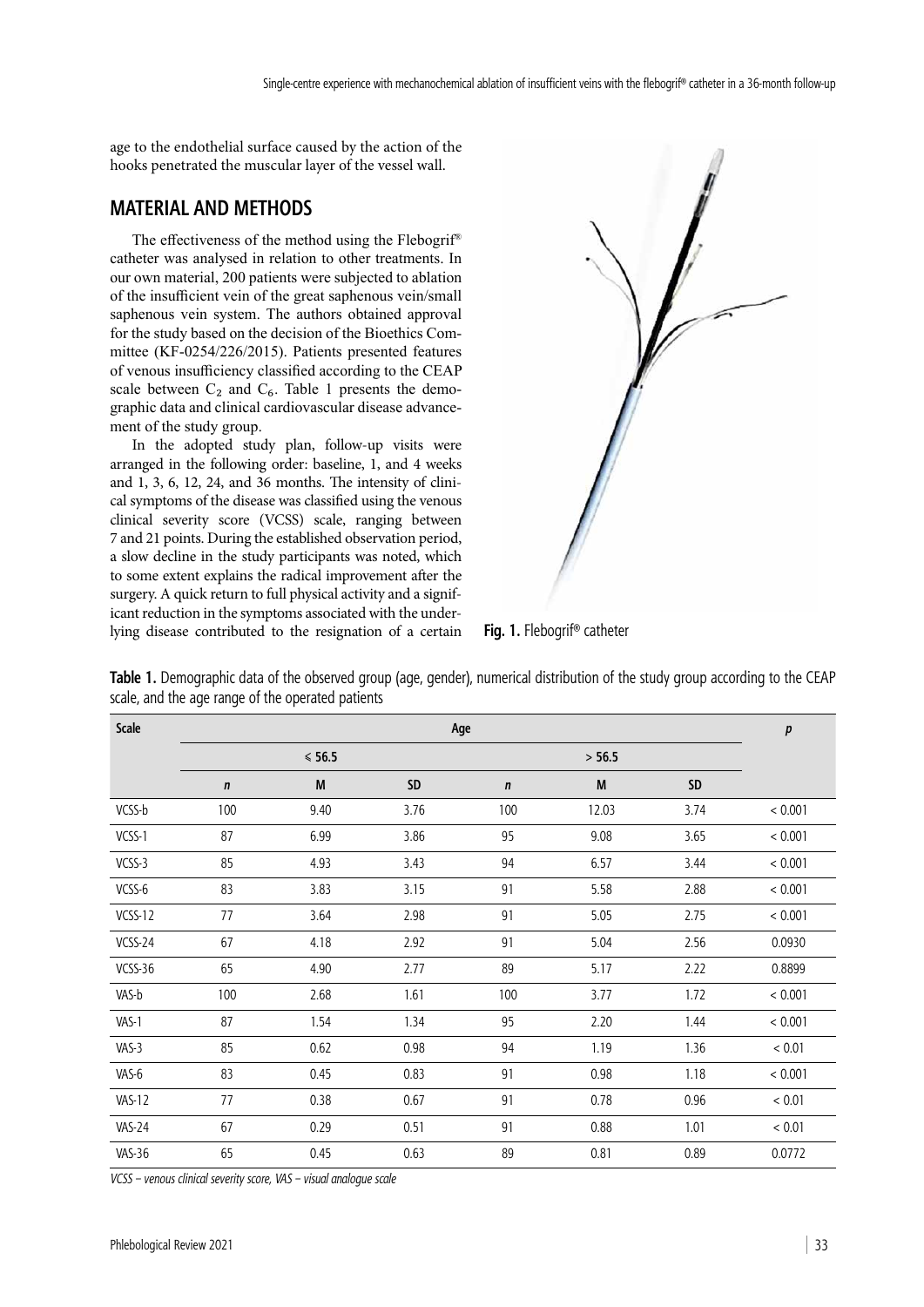age to the endothelial surface caused by the action of the hooks penetrated the muscular layer of the vessel wall.

## **MATERIAL AND METHODS**

The effectiveness of the method using the Flebogrif® catheter was analysed in relation to other treatments. In our own material, 200 patients were subjected to ablation of the insufficient vein of the great saphenous vein/small saphenous vein system. The authors obtained approval for the study based on the decision of the Bioethics Committee (KF-0254/226/2015). Patients presented features of venous insufficiency classified according to the CEAP scale between  $C_2$  and  $C_6$ . Table 1 presents the demographic data and clinical cardiovascular disease advancement of the study group.

In the adopted study plan, follow-up visits were arranged in the following order: baseline, 1, and 4 weeks and 1, 3, 6, 12, 24, and 36 months. The intensity of clinical symptoms of the disease was classified using the venous clinical severity score (VCSS) scale, ranging between 7 and 21 points. During the established observation period, a slow decline in the study participants was noted, which to some extent explains the radical improvement after the surgery. A quick return to full physical activity and a significant reduction in the symptoms associated with the underlying disease contributed to the resignation of a certain



**Fig. 1.** Flebogrif® catheter

| Scale         | Age              |      |      |             |       | $\pmb{p}$ |            |
|---------------|------------------|------|------|-------------|-------|-----------|------------|
|               | $\leqslant$ 56.5 |      |      | > 56.5      |       |           |            |
|               | $\mathbf n$      | M    | SD   | $\mathbf n$ | M     | $\sf SD$  |            |
| VCSS-b        | 100              | 9.40 | 3.76 | 100         | 12.03 | 3.74      | < 0.001    |
| VCSS-1        | 87               | 6.99 | 3.86 | 95          | 9.08  | 3.65      | < 0.001    |
| VCSS-3        | 85               | 4.93 | 3.43 | 94          | 6.57  | 3.44      | < 0.001    |
| VCSS-6        | 83               | 3.83 | 3.15 | 91          | 5.58  | 2.88      | < 0.001    |
| VCSS-12       | 77               | 3.64 | 2.98 | 91          | 5.05  | 2.75      | < 0.001    |
| VCSS-24       | 67               | 4.18 | 2.92 | 91          | 5.04  | 2.56      | 0.0930     |
| VCSS-36       | 65               | 4.90 | 2.77 | 89          | 5.17  | 2.22      | 0.8899     |
| VAS-b         | 100              | 2.68 | 1.61 | 100         | 3.77  | 1.72      | < 0.001    |
| VAS-1         | 87               | 1.54 | 1.34 | 95          | 2.20  | 1.44      | < 0.001    |
| VAS-3         | 85               | 0.62 | 0.98 | 94          | 1.19  | 1.36      | ${}< 0.01$ |
| VAS-6         | 83               | 0.45 | 0.83 | 91          | 0.98  | 1.18      | < 0.001    |
| <b>VAS-12</b> | 77               | 0.38 | 0.67 | 91          | 0.78  | 0.96      | ${}< 0.01$ |
| VAS-24        | 67               | 0.29 | 0.51 | 91          | 0.88  | 1.01      | ${}< 0.01$ |
| <b>VAS-36</b> | 65               | 0.45 | 0.63 | 89          | 0.81  | 0.89      | 0.0772     |

**Table 1.** Demographic data of the observed group (age, gender), numerical distribution of the study group according to the CEAP scale, and the age range of the operated patients

*VCSS – venous clinical severity score, VAS – visual analogue scale*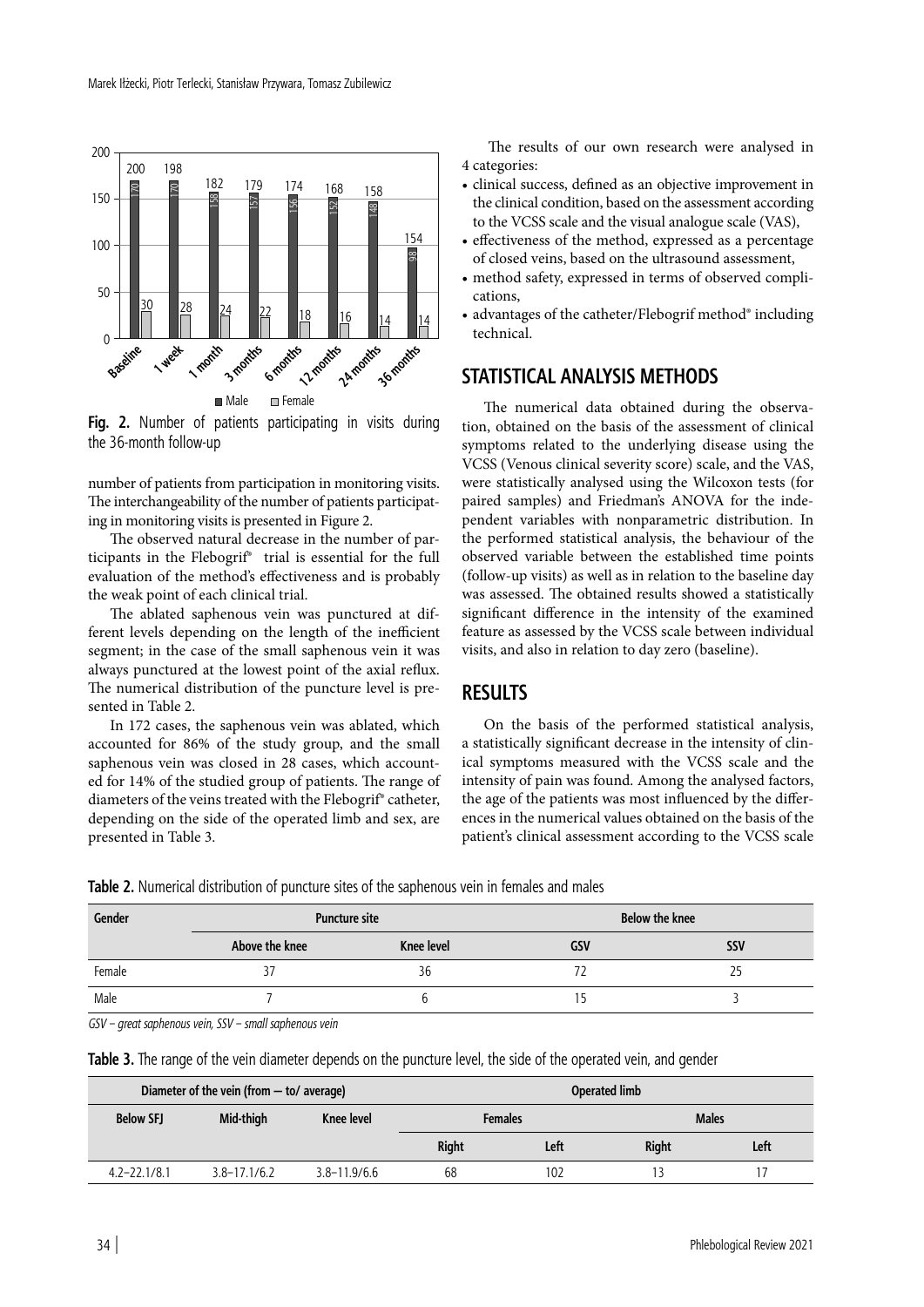

**Fig. 2.** Number of patients participating in visits during the 36-month follow-up

number of patients from participation in monitoring visits. The interchangeability of the number of patients participating in monitoring visits is presented in Figure 2.

The observed natural decrease in the number of participants in the Flebogrif® trial is essential for the full evaluation of the method's effectiveness and is probably the weak point of each clinical trial.

The ablated saphenous vein was punctured at different levels depending on the length of the inefficient segment; in the case of the small saphenous vein it was always punctured at the lowest point of the axial reflux. The numerical distribution of the puncture level is presented in Table 2.

In 172 cases, the saphenous vein was ablated, which accounted for 86% of the study group, and the small saphenous vein was closed in 28 cases, which accounted for 14% of the studied group of patients. The range of diameters of the veins treated with the Flebogrif® catheter, depending on the side of the operated limb and sex, are presented in Table 3.

The results of our own research were analysed in 4 categories:

- clinical success, defined as an objective improvement in the clinical condition, based on the assessment according to the VCSS scale and the visual analogue scale (VAS),
- effectiveness of the method, expressed as a percentage of closed veins, based on the ultrasound assessment,
- method safety, expressed in terms of observed complications,
- advantages of the catheter/Flebogrif method® including technical.

## **STATISTICAL ANALYSIS METHODS**

The numerical data obtained during the observation, obtained on the basis of the assessment of clinical symptoms related to the underlying disease using the VCSS (Venous clinical severity score) scale, and the VAS, were statistically analysed using the Wilcoxon tests (for paired samples) and Friedman's ANOVA for the independent variables with nonparametric distribution. In the performed statistical analysis, the behaviour of the observed variable between the established time points (follow-up visits) as well as in relation to the baseline day was assessed. The obtained results showed a statistically significant difference in the intensity of the examined feature as assessed by the VCSS scale between individual visits, and also in relation to day zero (baseline).

# **RESULTS**

On the basis of the performed statistical analysis, a statistically significant decrease in the intensity of clinical symptoms measured with the VCSS scale and the intensity of pain was found. Among the analysed factors, the age of the patients was most influenced by the differences in the numerical values obtained on the basis of the patient's clinical assessment according to the VCSS scale

**Table 2.** Numerical distribution of puncture sites of the saphenous vein in females and males

| Gender | <b>Puncture site</b> |            | <b>Below the knee</b> |            |  |
|--------|----------------------|------------|-----------------------|------------|--|
|        | Above the knee       | Knee level | GSV                   | <b>SSV</b> |  |
| Female |                      | 36         |                       |            |  |
| Male   |                      |            |                       |            |  |

*GSV – great saphenous vein, SSV – small saphenous vein*

|                  | Diameter of the vein (from $-$ to/ average) |                  | <b>Operated limb</b> |      |              |      |  |
|------------------|---------------------------------------------|------------------|----------------------|------|--------------|------|--|
| <b>Below SFJ</b> | Mid-thigh                                   | Knee level       | <b>Females</b>       |      | <b>Males</b> |      |  |
|                  |                                             |                  | <b>Right</b>         | Left | <b>Right</b> | Left |  |
| $4.2 - 22.1/8.1$ | $3.8 - 17.1/6.2$                            | $3.8 - 11.9/6.6$ | 68                   | 102  |              |      |  |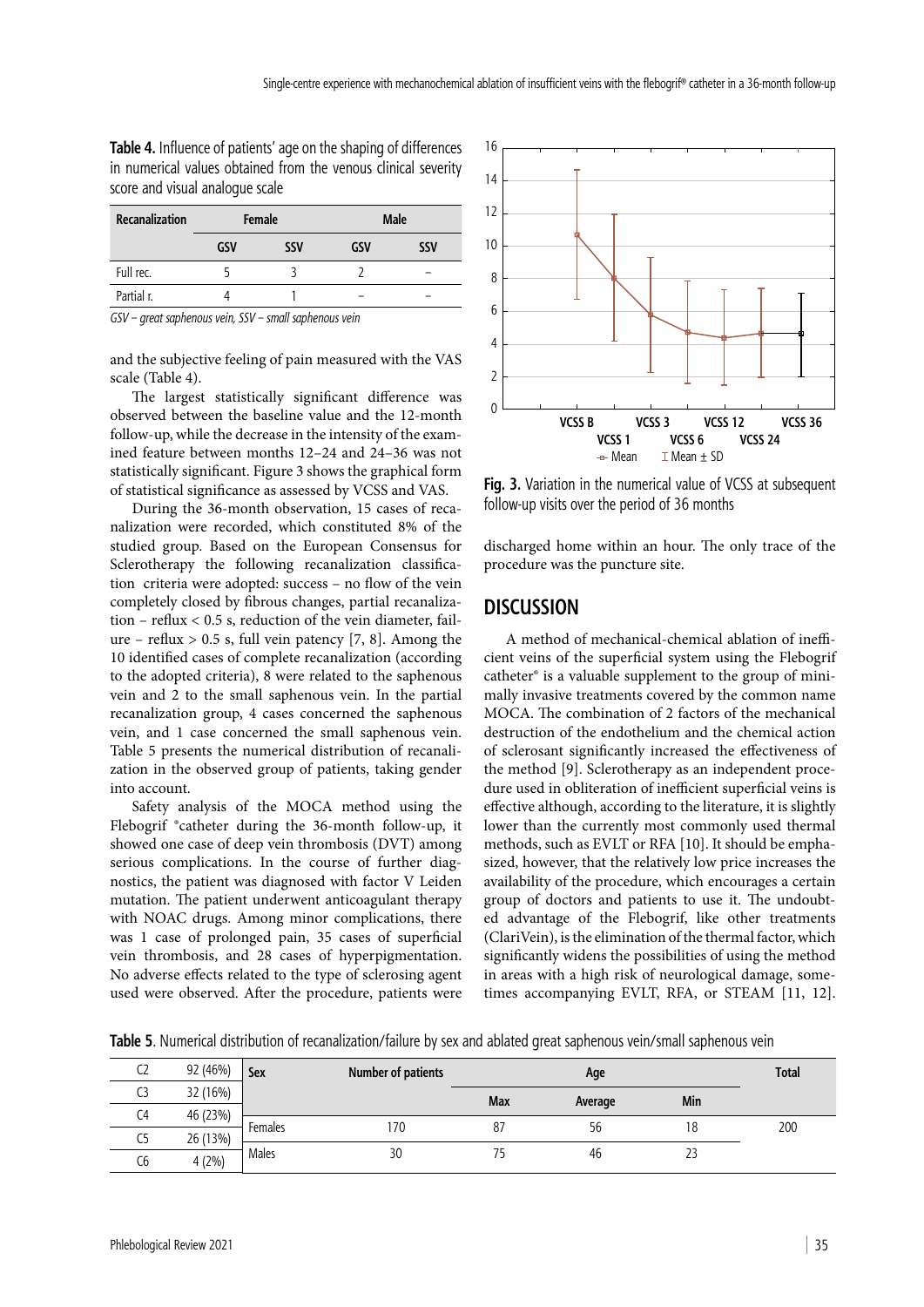**Table 4.** Influence of patients' age on the shaping of differences in numerical values obtained from the venous clinical severity score and visual analogue scale

| Recanalization        | Female          |                          | Male |            |  |
|-----------------------|-----------------|--------------------------|------|------------|--|
|                       | <b>GSV</b>      | <b>SSV</b>               | GSV  | <b>SSV</b> |  |
| Full rec.             |                 |                          |      |            |  |
| Partial r.            |                 |                          |      |            |  |
| $\overline{ }$<br>$-$ | $-1$<br>$\cdot$ | $\cdots$<br>$\mathbf{r}$ |      |            |  |

*GSV – great saphenous vein, SSV – small saphenous vein*

and the subjective feeling of pain measured with the VAS scale (Table 4).

The largest statistically significant difference was observed between the baseline value and the 12-month follow-up, while the decrease in the intensity of the examined feature between months 12–24 and 24–36 was not statistically significant. Figure 3 shows the graphical form of statistical significance as assessed by VCSS and VAS.

During the 36-month observation, 15 cases of recanalization were recorded, which constituted 8% of the studied group. Based on the European Consensus for Sclerotherapy the following recanalization classification criteria were adopted: success – no flow of the vein completely closed by fibrous changes, partial recanalization – reflux < 0.5 s, reduction of the vein diameter, failure – reflux  $> 0.5$  s, full vein patency [7, 8]. Among the 10 identified cases of complete recanalization (according to the adopted criteria), 8 were related to the saphenous vein and 2 to the small saphenous vein. In the partial recanalization group, 4 cases concerned the saphenous vein, and 1 case concerned the small saphenous vein. Table 5 presents the numerical distribution of recanalization in the observed group of patients, taking gender into account.

Safety analysis of the MOCA method using the Flebogrif ®catheter during the 36-month follow-up, it showed one case of deep vein thrombosis (DVT) among serious complications. In the course of further diagnostics, the patient was diagnosed with factor V Leiden mutation. The patient underwent anticoagulant therapy with NOAC drugs. Among minor complications, there was 1 case of prolonged pain, 35 cases of superficial vein thrombosis, and 28 cases of hyperpigmentation. No adverse effects related to the type of sclerosing agent used were observed. After the procedure, patients were



**Fig. 3.** Variation in the numerical value of VCSS at subsequent follow-up visits over the period of 36 months

discharged home within an hour. The only trace of the procedure was the puncture site.

## **DISCUSSION**

A method of mechanical-chemical ablation of inefficient veins of the superficial system using the Flebogrif catheter® is a valuable supplement to the group of minimally invasive treatments covered by the common name MOCA. The combination of 2 factors of the mechanical destruction of the endothelium and the chemical action of sclerosant significantly increased the effectiveness of the method [9]. Sclerotherapy as an independent procedure used in obliteration of inefficient superficial veins is effective although, according to the literature, it is slightly lower than the currently most commonly used thermal methods, such as EVLT or RFA [10]. It should be emphasized, however, that the relatively low price increases the availability of the procedure, which encourages a certain group of doctors and patients to use it. The undoubted advantage of the Flebogrif, like other treatments (ClariVein), is the elimination of the thermal factor, which significantly widens the possibilities of using the method in areas with a high risk of neurological damage, sometimes accompanying EVLT, RFA, or STEAM [11, 12].

**Table 5***.* Numerical distribution of recanalization/failure by sex and ablated great saphenous vein/small saphenous vein

| ~-<br>CZ | 92 (46%) | Number of patients<br><b>Sex</b> |     |     | <b>Total</b> |     |     |
|----------|----------|----------------------------------|-----|-----|--------------|-----|-----|
| C3       | 32 (16%) |                                  |     | Max | Average      | Min |     |
| C4       | 46 (23%) |                                  |     |     |              |     |     |
|          |          | Females                          | 170 | 87  | 56           | 18  | 200 |
| C5       | 26 (13%) |                                  |     |     |              |     |     |
| Cб       | 4(2%)    | Males                            | 30  | 75  | 46           | 23  |     |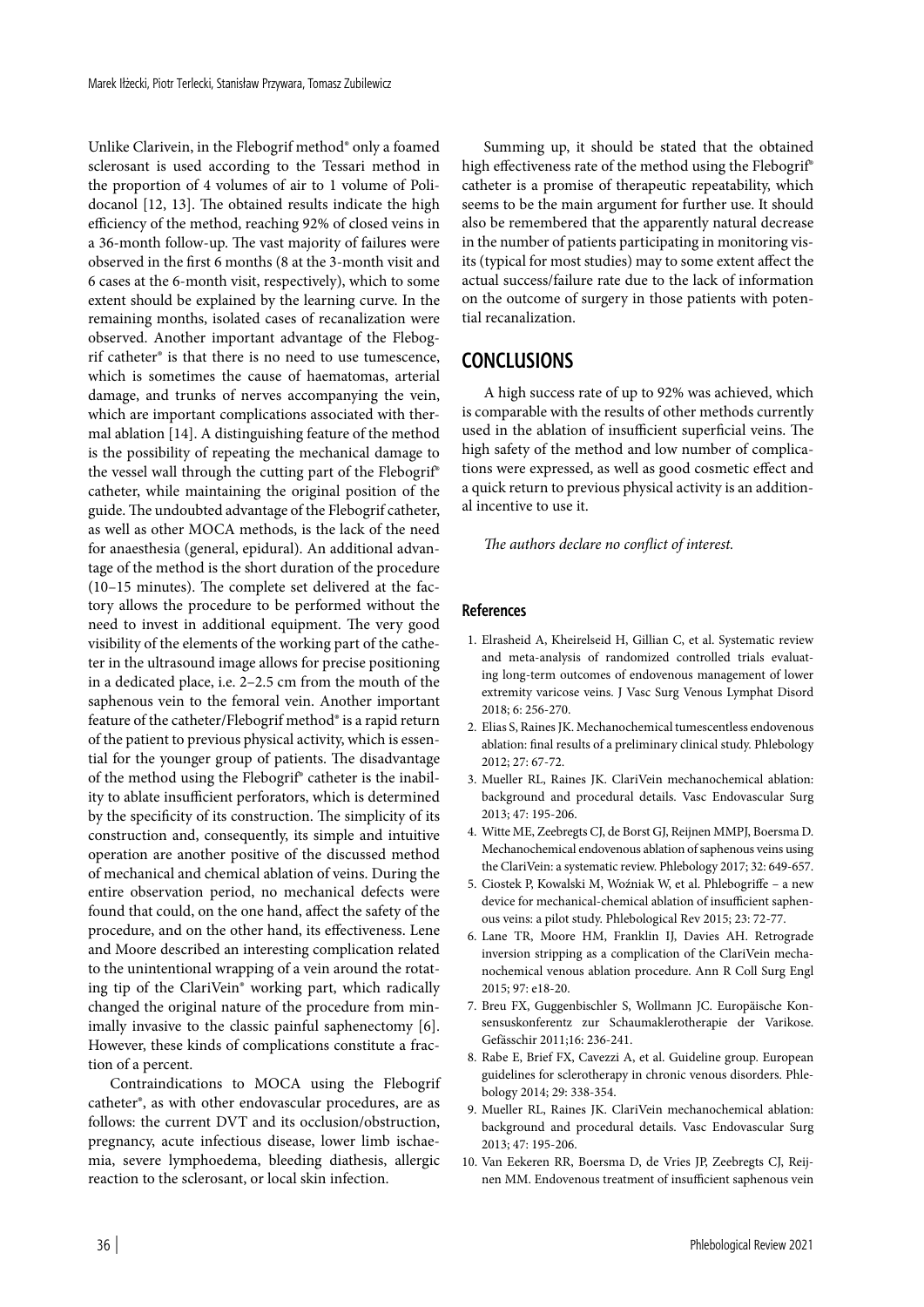Unlike Clarivein, in the Flebogrif method® only a foamed sclerosant is used according to the Tessari method in the proportion of 4 volumes of air to 1 volume of Polidocanol [12, 13]. The obtained results indicate the high efficiency of the method, reaching 92% of closed veins in a 36-month follow-up. The vast majority of failures were observed in the first 6 months (8 at the 3-month visit and 6 cases at the 6-month visit, respectively), which to some extent should be explained by the learning curve. In the remaining months, isolated cases of recanalization were observed. Another important advantage of the Flebogrif catheter® is that there is no need to use tumescence, which is sometimes the cause of haematomas, arterial damage, and trunks of nerves accompanying the vein, which are important complications associated with thermal ablation [14]. A distinguishing feature of the method is the possibility of repeating the mechanical damage to the vessel wall through the cutting part of the Flebogrif® catheter, while maintaining the original position of the guide. The undoubted advantage of the Flebogrif catheter, as well as other MOCA methods, is the lack of the need for anaesthesia (general, epidural). An additional advantage of the method is the short duration of the procedure (10–15 minutes). The complete set delivered at the factory allows the procedure to be performed without the need to invest in additional equipment. The very good visibility of the elements of the working part of the catheter in the ultrasound image allows for precise positioning in a dedicated place, i.e. 2–2.5 cm from the mouth of the saphenous vein to the femoral vein. Another important feature of the catheter/Flebogrif method® is a rapid return of the patient to previous physical activity, which is essential for the younger group of patients. The disadvantage of the method using the Flebogrif® catheter is the inability to ablate insufficient perforators, which is determined by the specificity of its construction. The simplicity of its construction and, consequently, its simple and intuitive operation are another positive of the discussed method of mechanical and chemical ablation of veins. During the entire observation period, no mechanical defects were found that could, on the one hand, affect the safety of the procedure, and on the other hand, its effectiveness. Lene and Moore described an interesting complication related to the unintentional wrapping of a vein around the rotating tip of the ClariVein® working part, which radically changed the original nature of the procedure from minimally invasive to the classic painful saphenectomy [6]. However, these kinds of complications constitute a fraction of a percent.

Contraindications to MOCA using the Flebogrif catheter®, as with other endovascular procedures, are as follows: the current DVT and its occlusion/obstruction, pregnancy, acute infectious disease, lower limb ischaemia, severe lymphoedema, bleeding diathesis, allergic reaction to the sclerosant, or local skin infection.

Summing up, it should be stated that the obtained high effectiveness rate of the method using the Flebogrif® catheter is a promise of therapeutic repeatability, which seems to be the main argument for further use. It should also be remembered that the apparently natural decrease in the number of patients participating in monitoring visits (typical for most studies) may to some extent affect the actual success/failure rate due to the lack of information on the outcome of surgery in those patients with potential recanalization.

# **CONCLUSIONS**

A high success rate of up to 92% was achieved, which is comparable with the results of other methods currently used in the ablation of insufficient superficial veins. The high safety of the method and low number of complications were expressed, as well as good cosmetic effect and a quick return to previous physical activity is an additional incentive to use it.

*The authors declare no conflict of interest.*

#### **References**

- 1. Elrasheid A, Kheirelseid H, Gillian C, et al. Systematic review and meta-analysis of randomized controlled trials evaluating long-term outcomes of endovenous management of lower extremity varicose veins. J Vasc Surg Venous Lymphat Disord 2018; 6: 256-270.
- 2. Elias S, Raines JK. Mechanochemical tumescentless endovenous ablation: final results of a preliminary clinical study. Phlebology 2012; 27: 67-72.
- 3. Mueller RL, Raines JK. ClariVein mechanochemical ablation: background and procedural details. Vasc Endovascular Surg 2013; 47: 195-206.
- 4. Witte ME, Zeebregts CJ, de Borst GJ, Reijnen MMPJ, Boersma D. Mechanochemical endovenous ablation of saphenous veins using the ClariVein: a systematic review. Phlebology 2017; 32: 649-657.
- 5. Ciostek P, Kowalski M, Woźniak W, et al. Phlebogriffe a new device for mechanical-chemical ablation of insufficient saphenous veins: a pilot study. Phlebological Rev 2015; 23: 72-77.
- 6. Lane TR, Moore HM, Franklin IJ, Davies AH. Retrograde inversion stripping as a complication of the ClariVein mechanochemical venous ablation procedure. Ann R Coll Surg Engl 2015; 97: e18-20.
- 7. Breu FX, Guggenbischler S, Wollmann JC. Europäische Konsensuskonferentz zur Schaumaklerotherapie der Varikose. Gefässchir 2011;16: 236-241.
- 8. Rabe E, Brief FX, Cavezzi A, et al. Guideline group. European guidelines for sclerotherapy in chronic venous disorders. Phlebology 2014; 29: 338-354.
- 9. Mueller RL, Raines JK. ClariVein mechanochemical ablation: background and procedural details. Vasc Endovascular Surg 2013; 47: 195-206.
- 10. Van Eekeren RR, Boersma D, de Vries JP, Zeebregts CJ, Reijnen MM. Endovenous treatment of insufficient saphenous vein